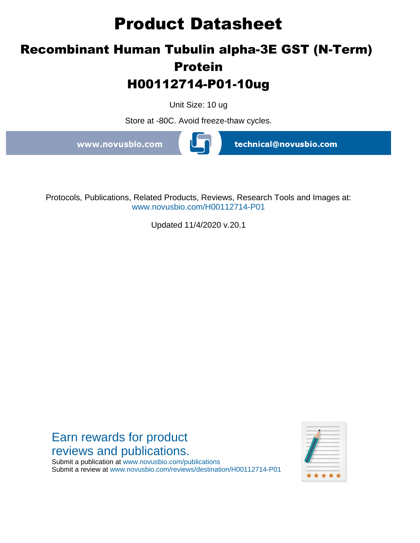# **Product Datasheet**

## **Recombinant Human Tubulin alpha-3E GST (N-Term) Protein H00112714-P01-10ug**

Unit Size: 10 ug

Store at -80C. Avoid freeze-thaw cycles.

www.novusbio.com

technical@novusbio.com

Protocols, Publications, Related Products, Reviews, Research Tools and Images at: www.novusbio.com/H00112714-P01

Updated 11/4/2020 v.20.1

Earn rewards for product reviews and publications. \* \* \* \*

Submit a publication at www.novusbio.com/publications Submit a review at www.novusbio.com/reviews/destination/H00112714-P01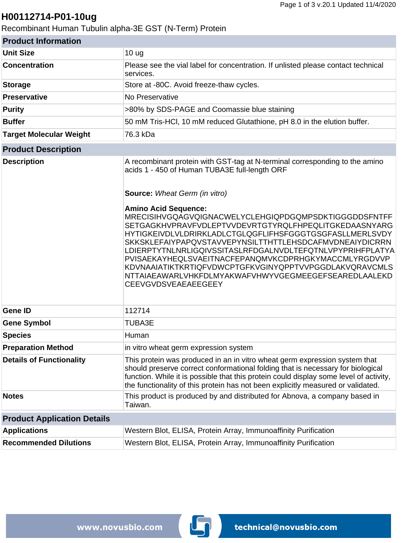### **H00112714-P01-10ug**

Recombinant Human Tubulin alpha-3E GST (N-Term) Protein

| <b>Product Information</b>         |                                                                                                                                                                                                                                                                                                                                                                                                                                                                                                                                                                                                                                                                                                                         |  |
|------------------------------------|-------------------------------------------------------------------------------------------------------------------------------------------------------------------------------------------------------------------------------------------------------------------------------------------------------------------------------------------------------------------------------------------------------------------------------------------------------------------------------------------------------------------------------------------------------------------------------------------------------------------------------------------------------------------------------------------------------------------------|--|
| <b>Unit Size</b>                   | 10 <sub>ug</sub>                                                                                                                                                                                                                                                                                                                                                                                                                                                                                                                                                                                                                                                                                                        |  |
| <b>Concentration</b>               | Please see the vial label for concentration. If unlisted please contact technical<br>services.                                                                                                                                                                                                                                                                                                                                                                                                                                                                                                                                                                                                                          |  |
| <b>Storage</b>                     | Store at -80C. Avoid freeze-thaw cycles.                                                                                                                                                                                                                                                                                                                                                                                                                                                                                                                                                                                                                                                                                |  |
| <b>Preservative</b>                | No Preservative                                                                                                                                                                                                                                                                                                                                                                                                                                                                                                                                                                                                                                                                                                         |  |
| <b>Purity</b>                      | >80% by SDS-PAGE and Coomassie blue staining                                                                                                                                                                                                                                                                                                                                                                                                                                                                                                                                                                                                                                                                            |  |
| <b>Buffer</b>                      | 50 mM Tris-HCl, 10 mM reduced Glutathione, pH 8.0 in the elution buffer.                                                                                                                                                                                                                                                                                                                                                                                                                                                                                                                                                                                                                                                |  |
| <b>Target Molecular Weight</b>     | 76.3 kDa                                                                                                                                                                                                                                                                                                                                                                                                                                                                                                                                                                                                                                                                                                                |  |
| <b>Product Description</b>         |                                                                                                                                                                                                                                                                                                                                                                                                                                                                                                                                                                                                                                                                                                                         |  |
| <b>Description</b>                 | A recombinant protein with GST-tag at N-terminal corresponding to the amino<br>acids 1 - 450 of Human TUBA3E full-length ORF<br><b>Source:</b> Wheat Germ (in vitro)<br><b>Amino Acid Sequence:</b><br>MRECISIHVGQAGVQIGNACWELYCLEHGIQPDGQMPSDKTIGGGDDSFNTFF<br>SETGAGKHVPRAVFVDLEPTVVDEVRTGTYRQLFHPEQLITGKEDAASNYARG<br>HYTIGKEIVDLVLDRIRKLADLCTGLQGFLIFHSFGGGTGSGFASLLMERLSVDY<br><b>SKKSKLEFAIYPAPQVSTAVVEPYNSILTTHTTLEHSDCAFMVDNEAIYDICRRN</b><br>LDIERPTYTNLNRLIGQIVSSITASLRFDGALNVDLTEFQTNLVPYPRIHFPLATYA<br>PVISAEKAYHEQLSVAEITNACFEPANQMVKCDPRHGKYMACCMLYRGDVVP<br>KDVNAAIATIKTKRTIQFVDWCPTGFKVGINYQPPTVVPGGDLAKVQRAVCMLS<br>NTTAIAEAWARLVHKFDLMYAKWAFVHWYVGEGMEEGEFSEAREDLAALEKD<br><b>CEEVGVDSVEAEAEEGEEY</b> |  |
| <b>Gene ID</b>                     | 112714                                                                                                                                                                                                                                                                                                                                                                                                                                                                                                                                                                                                                                                                                                                  |  |
| <b>Gene Symbol</b>                 | <b>TUBA3E</b>                                                                                                                                                                                                                                                                                                                                                                                                                                                                                                                                                                                                                                                                                                           |  |
| <b>Species</b>                     | Human                                                                                                                                                                                                                                                                                                                                                                                                                                                                                                                                                                                                                                                                                                                   |  |
| <b>Preparation Method</b>          | in vitro wheat germ expression system                                                                                                                                                                                                                                                                                                                                                                                                                                                                                                                                                                                                                                                                                   |  |
| <b>Details of Functionality</b>    | This protein was produced in an in vitro wheat germ expression system that<br>should preserve correct conformational folding that is necessary for biological<br>function. While it is possible that this protein could display some level of activity,<br>the functionality of this protein has not been explicitly measured or validated.                                                                                                                                                                                                                                                                                                                                                                             |  |
| <b>Notes</b>                       | This product is produced by and distributed for Abnova, a company based in<br>Taiwan.                                                                                                                                                                                                                                                                                                                                                                                                                                                                                                                                                                                                                                   |  |
| <b>Product Application Details</b> |                                                                                                                                                                                                                                                                                                                                                                                                                                                                                                                                                                                                                                                                                                                         |  |
| <b>Applications</b>                | Western Blot, ELISA, Protein Array, Immunoaffinity Purification                                                                                                                                                                                                                                                                                                                                                                                                                                                                                                                                                                                                                                                         |  |
| <b>Recommended Dilutions</b>       | Western Blot, ELISA, Protein Array, Immunoaffinity Purification                                                                                                                                                                                                                                                                                                                                                                                                                                                                                                                                                                                                                                                         |  |

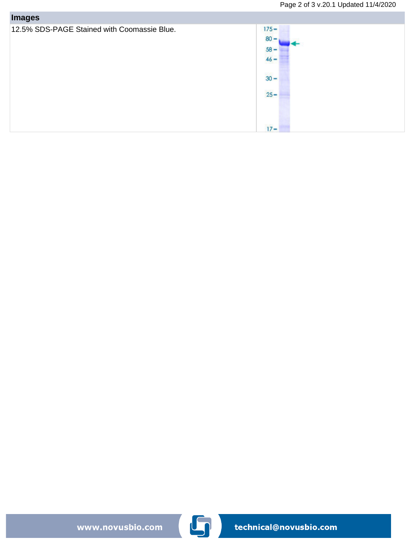| <b>Images</b>                               |                                                                     |
|---------------------------------------------|---------------------------------------------------------------------|
| 12.5% SDS-PAGE Stained with Coomassie Blue. | $175 -$<br>$80 -$<br>$58 -$<br>$46 -$<br>$30 -$<br>$25 -$<br>$17 -$ |

www.novusbio.com